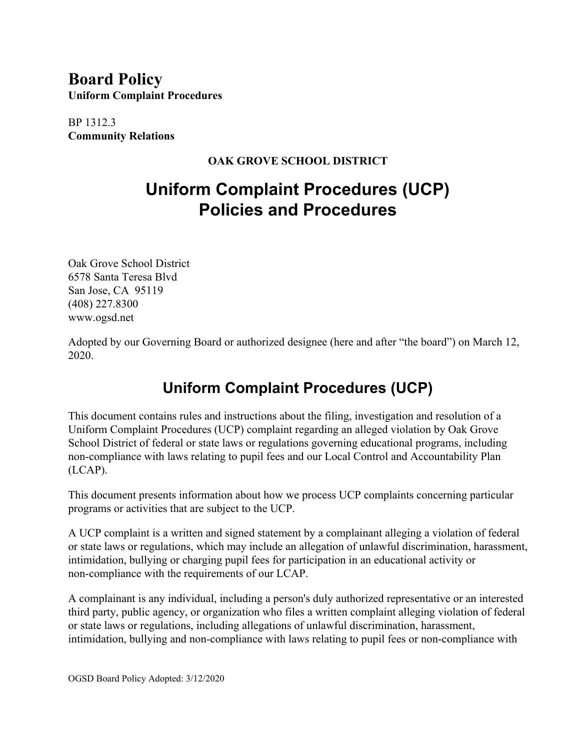## **Board Policy Uniform Complaint Procedures**

BP 1312.3 **Community Relations**

#### **OAK GROVE SCHOOL DISTRICT**

# **Uniform Complaint Procedures (UCP) Policies and Procedures**

Oak Grove School District 6578 Santa Teresa Blvd San Jose, CA 95119 (408) 227.8300 www.ogsd.net

Adopted by our Governing Board or authorized designee (here and after "the board") on March 12, 2020.

## **Uniform Complaint Procedures (UCP)**

This document contains rules and instructions about the filing, investigation and resolution of a Uniform Complaint Procedures (UCP) complaint regarding an alleged violation by Oak Grove School District of federal or state laws or regulations governing educational programs, including non-compliance with laws relating to pupil fees and our Local Control and Accountability Plan (LCAP).

This document presents information about how we process UCP complaints concerning particular programs or activities that are subject to the UCP.

A UCP complaint is a written and signed statement by a complainant alleging a violation of federal or state laws or regulations, which may include an allegation of unlawful discrimination, harassment, intimidation, bullying or charging pupil fees for participation in an educational activity or non-compliance with the requirements of our LCAP.

A complainant is any individual, including a person's duly authorized representative or an interested third party, public agency, or organization who files a written complaint alleging violation of federal or state laws or regulations, including allegations of unlawful discrimination, harassment, intimidation, bullying and non-compliance with laws relating to pupil fees or non-compliance with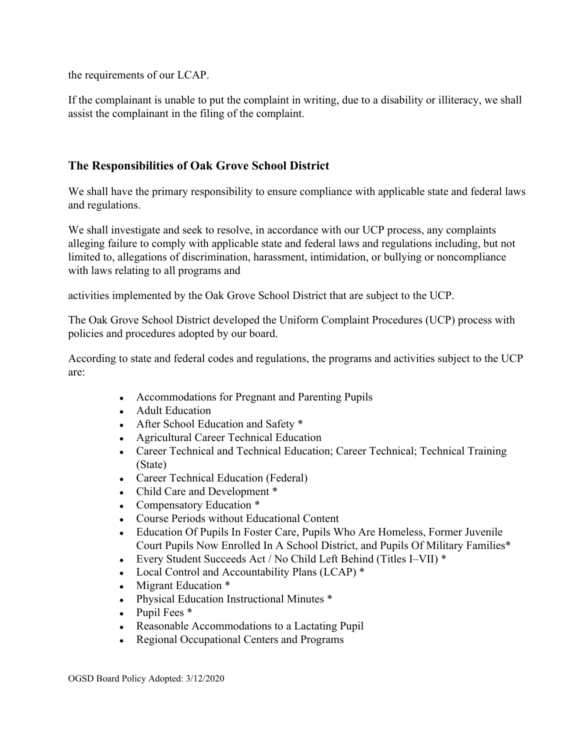the requirements of our LCAP.

If the complainant is unable to put the complaint in writing, due to a disability or illiteracy, we shall assist the complainant in the filing of the complaint.

#### **The Responsibilities of Oak Grove School District**

We shall have the primary responsibility to ensure compliance with applicable state and federal laws and regulations.

We shall investigate and seek to resolve, in accordance with our UCP process, any complaints alleging failure to comply with applicable state and federal laws and regulations including, but not limited to, allegations of discrimination, harassment, intimidation, or bullying or noncompliance with laws relating to all programs and

activities implemented by the Oak Grove School District that are subject to the UCP.

The Oak Grove School District developed the Uniform Complaint Procedures (UCP) process with policies and procedures adopted by our board.

According to state and federal codes and regulations, the programs and activities subject to the UCP are:

- Accommodations for Pregnant and Parenting Pupils
- Adult Education
- After School Education and Safety \*
- Agricultural Career Technical Education
- Career Technical and Technical Education; Career Technical; Technical Training (State)
- Career Technical Education (Federal)
- Child Care and Development \*
- Compensatory Education \*
- Course Periods without Educational Content
- Education Of Pupils In Foster Care, Pupils Who Are Homeless, Former Juvenile Court Pupils Now Enrolled In A School District, and Pupils Of Military Families\*
- Every Student Succeeds Act / No Child Left Behind (Titles I–VII)  $*$
- Local Control and Accountability Plans (LCAP)  $*$
- Migrant Education  $*$
- Physical Education Instructional Minutes \*
- $\bullet$  Pupil Fees  $*$
- Reasonable Accommodations to a Lactating Pupil
- Regional Occupational Centers and Programs

OGSD Board Policy Adopted: 3/12/2020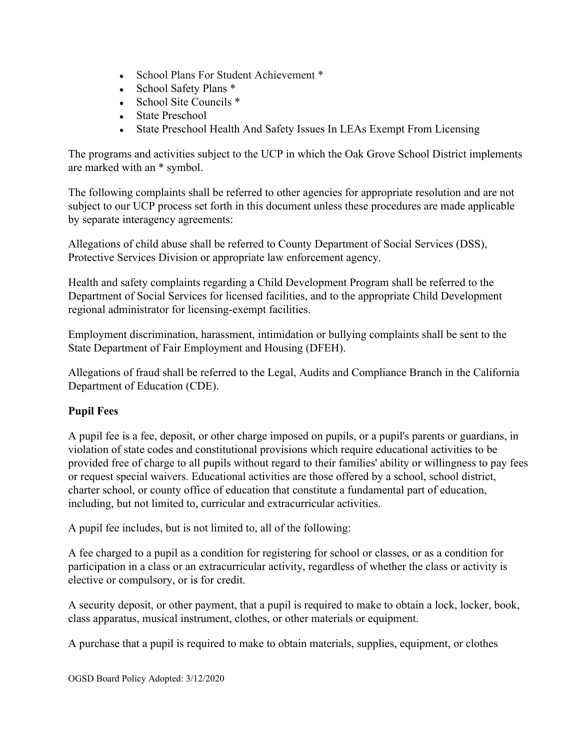- School Plans For Student Achievement \*
- School Safety Plans \*
- School Site Councils  $*$
- State Preschool
- State Preschool Health And Safety Issues In LEAs Exempt From Licensing

The programs and activities subject to the UCP in which the Oak Grove School District implements are marked with an \* symbol.

The following complaints shall be referred to other agencies for appropriate resolution and are not subject to our UCP process set forth in this document unless these procedures are made applicable by separate interagency agreements:

Allegations of child abuse shall be referred to County Department of Social Services (DSS), Protective Services Division or appropriate law enforcement agency.

Health and safety complaints regarding a Child Development Program shall be referred to the Department of Social Services for licensed facilities, and to the appropriate Child Development regional administrator for licensing-exempt facilities.

Employment discrimination, harassment, intimidation or bullying complaints shall be sent to the State Department of Fair Employment and Housing (DFEH).

Allegations of fraud shall be referred to the Legal, Audits and Compliance Branch in the California Department of Education (CDE).

## **Pupil Fees**

A pupil fee is a fee, deposit, or other charge imposed on pupils, or a pupil's parents or guardians, in violation of state codes and constitutional provisions which require educational activities to be provided free of charge to all pupils without regard to their families' ability or willingness to pay fees or request special waivers. Educational activities are those offered by a school, school district, charter school, or county office of education that constitute a fundamental part of education, including, but not limited to, curricular and extracurricular activities.

A pupil fee includes, but is not limited to, all of the following:

A fee charged to a pupil as a condition for registering for school or classes, or as a condition for participation in a class or an extracurricular activity, regardless of whether the class or activity is elective or compulsory, or is for credit.

A security deposit, or other payment, that a pupil is required to make to obtain a lock, locker, book, class apparatus, musical instrument, clothes, or other materials or equipment.

A purchase that a pupil is required to make to obtain materials, supplies, equipment, or clothes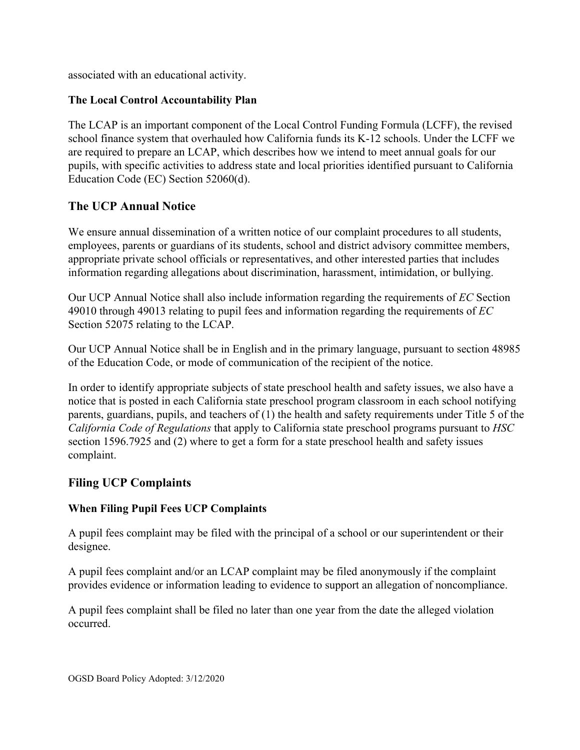associated with an educational activity.

#### **The Local Control Accountability Plan**

The LCAP is an important component of the Local Control Funding Formula (LCFF), the revised school finance system that overhauled how California funds its K-12 schools. Under the LCFF we are required to prepare an LCAP, which describes how we intend to meet annual goals for our pupils, with specific activities to address state and local priorities identified pursuant to California Education Code (EC) Section 52060(d).

## **The UCP Annual Notice**

We ensure annual dissemination of a written notice of our complaint procedures to all students, employees, parents or guardians of its students, school and district advisory committee members, appropriate private school officials or representatives, and other interested parties that includes information regarding allegations about discrimination, harassment, intimidation, or bullying.

Our UCP Annual Notice shall also include information regarding the requirements of *EC* Section 49010 through 49013 relating to pupil fees and information regarding the requirements of *EC* Section 52075 relating to the LCAP.

Our UCP Annual Notice shall be in English and in the primary language, pursuant to section 48985 of the Education Code, or mode of communication of the recipient of the notice.

In order to identify appropriate subjects of state preschool health and safety issues, we also have a notice that is posted in each California state preschool program classroom in each school notifying parents, guardians, pupils, and teachers of (1) the health and safety requirements under Title 5 of the *California Code of Regulations* that apply to California state preschool programs pursuant to *HSC* section 1596.7925 and (2) where to get a form for a state preschool health and safety issues complaint.

## **Filing UCP Complaints**

## **When Filing Pupil Fees UCP Complaints**

A pupil fees complaint may be filed with the principal of a school or our superintendent or their designee.

A pupil fees complaint and/or an LCAP complaint may be filed anonymously if the complaint provides evidence or information leading to evidence to support an allegation of noncompliance.

A pupil fees complaint shall be filed no later than one year from the date the alleged violation occurred.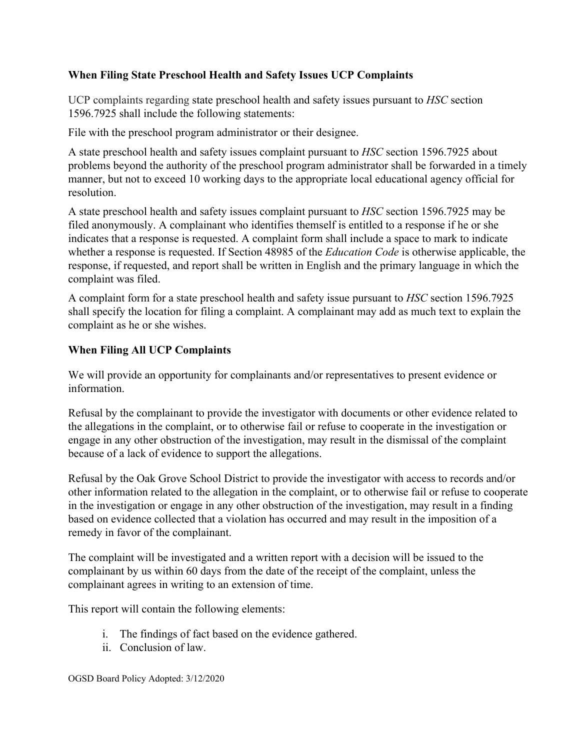#### **When Filing State Preschool Health and Safety Issues UCP Complaints**

UCP complaints regarding state preschool health and safety issues pursuant to *HSC* section 1596.7925 shall include the following statements:

File with the preschool program administrator or their designee.

A state preschool health and safety issues complaint pursuant to *HSC* section 1596.7925 about problems beyond the authority of the preschool program administrator shall be forwarded in a timely manner, but not to exceed 10 working days to the appropriate local educational agency official for resolution.

A state preschool health and safety issues complaint pursuant to *HSC* section 1596.7925 may be filed anonymously. A complainant who identifies themself is entitled to a response if he or she indicates that a response is requested. A complaint form shall include a space to mark to indicate whether a response is requested. If Section 48985 of the *Education Code* is otherwise applicable, the response, if requested, and report shall be written in English and the primary language in which the complaint was filed.

A complaint form for a state preschool health and safety issue pursuant to *HSC* section 1596.7925 shall specify the location for filing a complaint. A complainant may add as much text to explain the complaint as he or she wishes.

#### **When Filing All UCP Complaints**

We will provide an opportunity for complainants and/or representatives to present evidence or information.

Refusal by the complainant to provide the investigator with documents or other evidence related to the allegations in the complaint, or to otherwise fail or refuse to cooperate in the investigation or engage in any other obstruction of the investigation, may result in the dismissal of the complaint because of a lack of evidence to support the allegations.

Refusal by the Oak Grove School District to provide the investigator with access to records and/or other information related to the allegation in the complaint, or to otherwise fail or refuse to cooperate in the investigation or engage in any other obstruction of the investigation, may result in a finding based on evidence collected that a violation has occurred and may result in the imposition of a remedy in favor of the complainant.

The complaint will be investigated and a written report with a decision will be issued to the complainant by us within 60 days from the date of the receipt of the complaint, unless the complainant agrees in writing to an extension of time.

This report will contain the following elements:

- i. The findings of fact based on the evidence gathered.
- ii. Conclusion of law.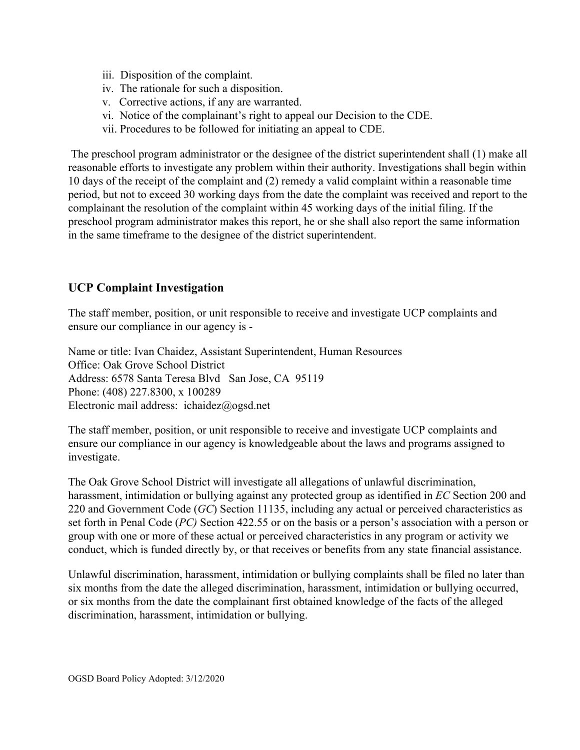- iii. Disposition of the complaint.
- iv. The rationale for such a disposition.
- v. Corrective actions, if any are warranted.
- vi. Notice of the complainant's right to appeal our Decision to the CDE.
- vii. Procedures to be followed for initiating an appeal to CDE.

 The preschool program administrator or the designee of the district superintendent shall (1) make all reasonable efforts to investigate any problem within their authority. Investigations shall begin within 10 days of the receipt of the complaint and (2) remedy a valid complaint within a reasonable time period, but not to exceed 30 working days from the date the complaint was received and report to the complainant the resolution of the complaint within 45 working days of the initial filing. If the preschool program administrator makes this report, he or she shall also report the same information in the same timeframe to the designee of the district superintendent.

## **UCP Complaint Investigation**

The staff member, position, or unit responsible to receive and investigate UCP complaints and ensure our compliance in our agency is -

Name or title: Ivan Chaidez, Assistant Superintendent, Human Resources Office: Oak Grove School District Address: 6578 Santa Teresa Blvd San Jose, CA 95119 Phone: (408) 227.8300, x 100289 Electronic mail address: ichaidez@ogsd.net

The staff member, position, or unit responsible to receive and investigate UCP complaints and ensure our compliance in our agency is knowledgeable about the laws and programs assigned to investigate.

The Oak Grove School District will investigate all allegations of unlawful discrimination, harassment, intimidation or bullying against any protected group as identified in *EC* Section 200 and 220 and Government Code (*GC*) Section 11135, including any actual or perceived characteristics as set forth in Penal Code (*PC)* Section 422.55 or on the basis or a person's association with a person or group with one or more of these actual or perceived characteristics in any program or activity we conduct, which is funded directly by, or that receives or benefits from any state financial assistance.

Unlawful discrimination, harassment, intimidation or bullying complaints shall be filed no later than six months from the date the alleged discrimination, harassment, intimidation or bullying occurred, or six months from the date the complainant first obtained knowledge of the facts of the alleged discrimination, harassment, intimidation or bullying.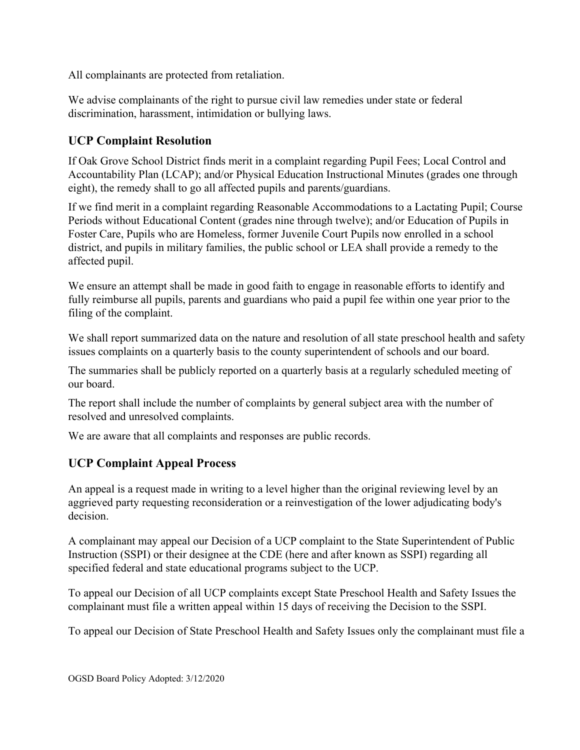All complainants are protected from retaliation.

We advise complainants of the right to pursue civil law remedies under state or federal discrimination, harassment, intimidation or bullying laws.

## **UCP Complaint Resolution**

If Oak Grove School District finds merit in a complaint regarding Pupil Fees; Local Control and Accountability Plan (LCAP); and/or Physical Education Instructional Minutes (grades one through eight), the remedy shall to go all affected pupils and parents/guardians.

If we find merit in a complaint regarding Reasonable Accommodations to a Lactating Pupil; Course Periods without Educational Content (grades nine through twelve); and/or Education of Pupils in Foster Care, Pupils who are Homeless, former Juvenile Court Pupils now enrolled in a school district, and pupils in military families, the public school or LEA shall provide a remedy to the affected pupil.

We ensure an attempt shall be made in good faith to engage in reasonable efforts to identify and fully reimburse all pupils, parents and guardians who paid a pupil fee within one year prior to the filing of the complaint.

We shall report summarized data on the nature and resolution of all state preschool health and safety issues complaints on a quarterly basis to the county superintendent of schools and our board.

The summaries shall be publicly reported on a quarterly basis at a regularly scheduled meeting of our board.

The report shall include the number of complaints by general subject area with the number of resolved and unresolved complaints.

We are aware that all complaints and responses are public records.

## **UCP Complaint Appeal Process**

An appeal is a request made in writing to a level higher than the original reviewing level by an aggrieved party requesting reconsideration or a reinvestigation of the lower adjudicating body's decision.

A complainant may appeal our Decision of a UCP complaint to the State Superintendent of Public Instruction (SSPI) or their designee at the CDE (here and after known as SSPI) regarding all specified federal and state educational programs subject to the UCP.

To appeal our Decision of all UCP complaints except State Preschool Health and Safety Issues the complainant must file a written appeal within 15 days of receiving the Decision to the SSPI.

To appeal our Decision of State Preschool Health and Safety Issues only the complainant must file a